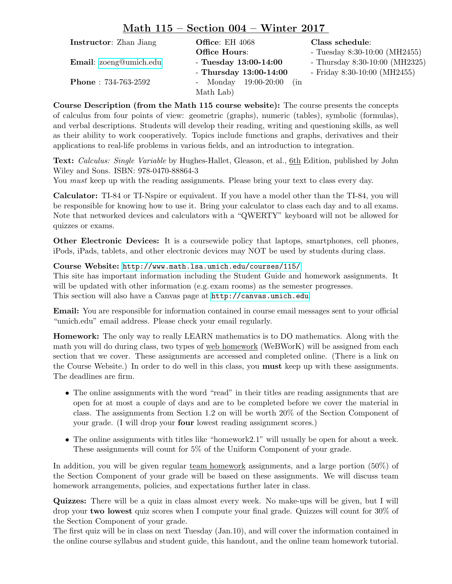## Math 115 – Section 004 – Winter 2017

| <b>Instructor:</b> Zhan Jiang | <b>Office:</b> EH $4068$    | Class schedule:                  |
|-------------------------------|-----------------------------|----------------------------------|
|                               | <b>Office Hours:</b>        | - Tuesday $8:30-10:00$ (MH2455)  |
| <b>Email:</b> zoeng@umich.edu | - Tuesday $13:00-14:00$     | - Thursday $8:30-10:00$ (MH2325) |
|                               | - Thursday $13:00-14:00$    | - Friday $8:30-10:00$ (MH2455)   |
| <b>Phone</b> : $734-763-2592$ | - Monday 19:00-20:00<br>(in |                                  |
|                               | Math Lab)                   |                                  |

Course Description (from the Math 115 course website): The course presents the concepts of calculus from four points of view: geometric (graphs), numeric (tables), symbolic (formulas), and verbal descriptions. Students will develop their reading, writing and questioning skills, as well as their ability to work cooperatively. Topics include functions and graphs, derivatives and their applications to real-life problems in various fields, and an introduction to integration.

Text: Calculus: Single Variable by Hughes-Hallet, Gleason, et al., 6th Edition, published by John Wiley and Sons. ISBN: 978-0470-88864-3

You *must* keep up with the reading assignments. Please bring your text to class every day.

Calculator: TI-84 or TI-Nspire or equivalent. If you have a model other than the TI-84, you will be responsible for knowing how to use it. Bring your calculator to class each day and to all exams. Note that networked devices and calculators with a "QWERTY" keyboard will not be allowed for quizzes or exams.

Other Electronic Devices: It is a coursewide policy that laptops, smartphones, cell phones, iPods, iPads, tablets, and other electronic devices may NOT be used by students during class.

## Course Website: <http://www.math.lsa.umich.edu/courses/115/>

This site has important information including the Student Guide and homework assignments. It will be updated with other information (e.g. exam rooms) as the semester progresses. This section will also have a Canvas page at <http://canvas.umich.edu>.

Email: You are responsible for information contained in course email messages sent to your official "umich.edu" email address. Please check your email regularly.

Homework: The only way to really LEARN mathematics is to DO mathematics. Along with the math you will do during class, two types of web homework (WeBWorK) will be assigned from each section that we cover. These assignments are accessed and completed online. (There is a link on the Course Website.) In order to do well in this class, you must keep up with these assignments. The deadlines are firm.

- The online assignments with the word "read" in their titles are reading assignments that are open for at most a couple of days and are to be completed before we cover the material in class. The assignments from Section 1.2 on will be worth 20% of the Section Component of your grade. (I will drop your four lowest reading assignment scores.)
- The online assignments with titles like "homework2.1" will usually be open for about a week. These assignments will count for 5% of the Uniform Component of your grade.

In addition, you will be given regular team homework assignments, and a large portion (50%) of the Section Component of your grade will be based on these assignments. We will discuss team homework arrangements, policies, and expectations further later in class.

Quizzes: There will be a quiz in class almost every week. No make-ups will be given, but I will drop your two lowest quiz scores when I compute your final grade. Quizzes will count for 30% of the Section Component of your grade.

The first quiz will be in class on next Tuesday (Jan.10), and will cover the information contained in the online course syllabus and student guide, this handout, and the online team homework tutorial.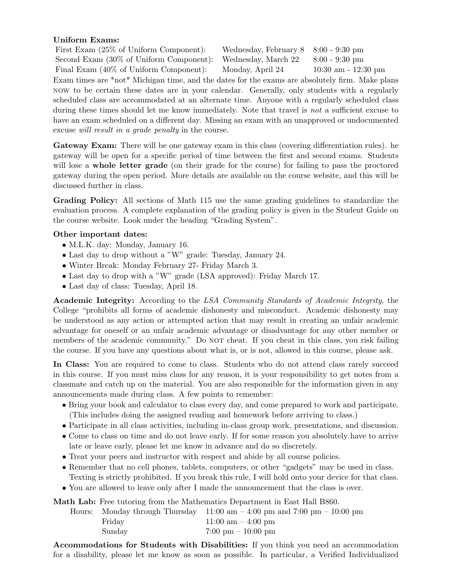## Uniform Exams:

| First Exam $(25\% \text{ of Uniform Component})$ :                                            | Wednesday, February $8 \quad 8:00 - 9:30 \text{ pm}$ |                         |
|-----------------------------------------------------------------------------------------------|------------------------------------------------------|-------------------------|
| Second Exam (30% of Uniform Component): Wednesday, March 22                                   |                                                      | $8:00 - 9:30$ pm        |
| Final Exam (40% of Uniform Component): Monday, April 24                                       |                                                      | $10:30$ am - $12:30$ pm |
| Exam times are *not* Michigan time, and the dates for the exams are absolutely firm. Make pla |                                                      |                         |

Exam times are \*not\* Michigan time, and the dates for the exams are absolutely firm. Make plans now to be certain these dates are in your calendar. Generally, only students with a regularly scheduled class are accommodated at an alternate time. Anyone with a regularly scheduled class during these times should let me know immediately. Note that travel is *not* a sufficient excuse to have an exam scheduled on a different day. Missing an exam with an unapproved or undocumented excuse will result in a grade penalty in the course.

Gateway Exam: There will be one gateway exam in this class (covering differentiation rules). he gateway will be open for a specific period of time between the first and second exams. Students will lose a **whole letter grade** (on their grade for the course) for failing to pass the proctored gateway during the open period. More details are available on the course website, and this will be discussed further in class.

Grading Policy: All sections of Math 115 use the same grading guidelines to standardize the evaluation process. A complete explanation of the grading policy is given in the Student Guide on the course website. Look under the heading "Grading System".

## Other important dates:

- M.L.K. day: Monday, January 16.
- Last day to drop without a "W" grade: Tuesday, January 24.
- Winter Break: Monday February 27- Friday March 3.
- Last day to drop with a "W" grade (LSA approved): Friday March 17.
- Last day of class: Tuesday, April 18.

Academic Integrity: According to the LSA Community Standards of Academic Integrity, the College "prohibits all forms of academic dishonesty and misconduct. Academic dishonesty may be understood as any action or attempted action that may result in creating an unfair academic advantage for oneself or an unfair academic advantage or disadvantage for any other member or members of the academic community." Do NOT cheat. If you cheat in this class, you risk failing the course. If you have any questions about what is, or is not, allowed in this course, please ask.

In Class: You are required to come to class. Students who do not attend class rarely succeed in this course. If you must miss class for any reason, it is your responsibility to get notes from a classmate and catch up on the material. You are also responsible for the information given in any announcements made during class. A few points to remember:

- Bring your book and calculator to class every day, and come prepared to work and participate. (This includes doing the assigned reading and homework before arriving to class.)
- Participate in all class activities, including in-class group work, presentations, and discussion.
- Come to class on time and do not leave early. If for some reason you absolutely have to arrive late or leave early, please let me know in advance and do so discretely.
- Treat your peers and instructor with respect and abide by all course policies.
- Remember that no cell phones, tablets, computers, or other "gadgets" may be used in class. Texting is strictly prohibited. If you break this rule, I will hold onto your device for that class.
- You are allowed to leave only after I made the announcement that the class is over.

Math Lab: Free tutoring from the Mathematics Department in East Hall B860.

|        | Hours: Monday through Thursday $11:00 \text{ am} - 4:00 \text{ pm}$ and $7:00 \text{ pm} - 10:00 \text{ pm}$ |
|--------|--------------------------------------------------------------------------------------------------------------|
| Friday | $11:00 \text{ am} - 4:00 \text{ pm}$                                                                         |
| Sunday | $7:00 \text{ pm} - 10:00 \text{ pm}$                                                                         |

Accommodations for Students with Disabilities: If you think you need an accommodation for a disability, please let me know as soon as possible. In particular, a Verified Individualized